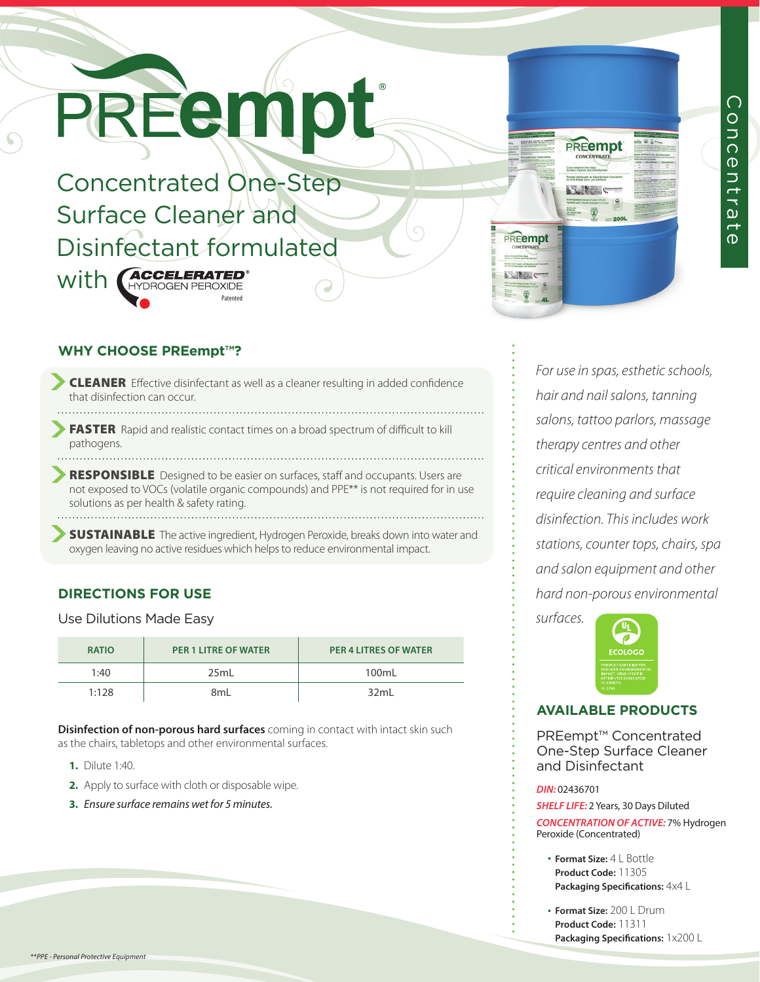# PREEM

Concentrated One-Step Surface Cleaner and Disinfectant formulated With **GCCELERATED** Patented

### **PREempt Voduit Nettoyant et Désinfect Contract Contract Contract Contract Contract Contract Contract Contract Contract Contract Contract Contract Contract Contract Contract Contract Contract Contract Contract Contract Contract Contract Contract Contract Contr** PREempt

**Allena** 

## Concentrate ONCENT ra<br>G  $\overline{d}$

#### **WHY CHOOSE PREempt™?**

- CLEANER Effective disinfectant as well as a cleaner resulting in added confidence that disinfection can occur.
- FASTER Rapid and realistic contact times on a broad spectrum of difficult to kill pathogens.
- RESPONSIBLE Designed to be easier on surfaces, staff and occupants. Users are not exposed to VOCs (volatile organic compounds) and PPE\*\* is not required for in use solutions as per health & safety rating.
- **SUSTAINABLE** The active ingredient, Hydrogen Peroxide, breaks down into water and oxygen leaving no active residues which helps to reduce environmental impact.

#### **DIRECTIONS FOR USE**

Use Dilutions Made Easy

| <b>RATIO</b> | <b>PER 1 LITRE OF WATER</b> | <b>PER 4 LITRES OF WATER</b> |
|--------------|-----------------------------|------------------------------|
| 1:40         | 25ml                        | 100mL                        |
| 1:128        | 8ml                         | 32ml                         |

**Disinfection of non-porous hard surfaces** coming in contact with intact skin such as the chairs, tabletops and other environmental surfaces.

- **1.** Dilute 1:40.
- **2.** Apply to surface with cloth or disposable wipe.
- **3.** *Ensure surface remains wet for 5 minutes.*

*For use in spas, esthetic schools, hair and nail salons, tanning salons, tattoo parlors, massage therapy centres and other critical environments that require cleaning and surface disinfection. This includes work stations, counter tops, chairs, spa and salon equipment and other hard non-porous environmental* 



#### **AVAILABLE PRODUCTS**

PREempt™ Concentrated One-Step Surface Cleaner and Disinfectant

#### *DIN:* 02436701

*surfaces.*

*SHELF LIFE:* 2 Years, 30 Days Diluted *CONCENTRATION OF ACTIVE:* 7% Hydrogen Peroxide (Concentrated)

- **Format Size:** 4 L Bottle **Product Code:** 11305 **Packaging Specifications:** 4x4 L
- **Format Size:** 200 L Drum **Product Code:** 11311 **Packaging Specifications:** 1x200 L